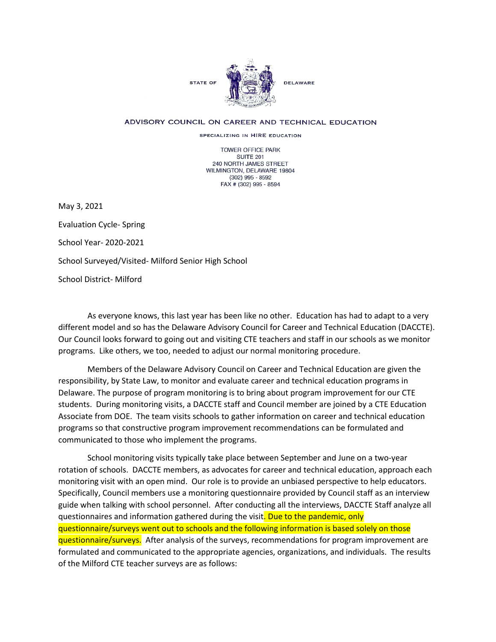

## ADVISORY COUNCIL ON CAREER AND TECHNICAL EDUCATION

SPECIALIZING IN HIRE EDUCATION

TOWER OFFICE PARK SUITE 201 240 NORTH JAMES STREET WILMINGTON, DELAWARE 19804 (302) 995 - 8592 FAX # (302) 995 - 8594

May 3, 2021

Evaluation Cycle- Spring School Year- 2020-2021 School Surveyed/Visited- Milford Senior High School School District- Milford

As everyone knows, this last year has been like no other. Education has had to adapt to a very different model and so has the Delaware Advisory Council for Career and Technical Education (DACCTE). Our Council looks forward to going out and visiting CTE teachers and staff in our schools as we monitor programs. Like others, we too, needed to adjust our normal monitoring procedure.

Members of the Delaware Advisory Council on Career and Technical Education are given the responsibility, by State Law, to monitor and evaluate career and technical education programs in Delaware. The purpose of program monitoring is to bring about program improvement for our CTE students. During monitoring visits, a DACCTE staff and Council member are joined by a CTE Education Associate from DOE. The team visits schools to gather information on career and technical education programs so that constructive program improvement recommendations can be formulated and communicated to those who implement the programs.

School monitoring visits typically take place between September and June on a two-year rotation of schools. DACCTE members, as advocates for career and technical education, approach each monitoring visit with an open mind. Our role is to provide an unbiased perspective to help educators. Specifically, Council members use a monitoring questionnaire provided by Council staff as an interview guide when talking with school personnel. After conducting all the interviews, DACCTE Staff analyze all questionnaires and information gathered during the visit. Due to the pandemic, only questionnaire/surveys went out to schools and the following information is based solely on those questionnaire/surveys. After analysis of the surveys, recommendations for program improvement are formulated and communicated to the appropriate agencies, organizations, and individuals. The results of the Milford CTE teacher surveys are as follows: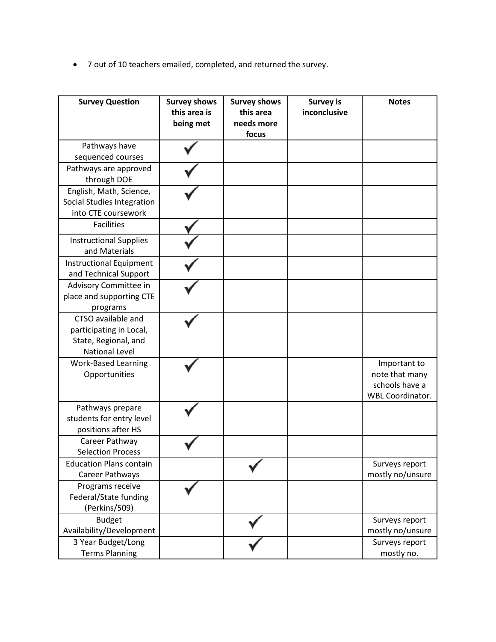• 7 out of 10 teachers emailed, completed, and returned the survey.

| <b>Survey Question</b>                                                                         | <b>Survey shows</b><br>this area is<br>being met | <b>Survey shows</b><br>this area<br>needs more<br>focus | <b>Survey is</b><br>inconclusive | <b>Notes</b>                                                                |
|------------------------------------------------------------------------------------------------|--------------------------------------------------|---------------------------------------------------------|----------------------------------|-----------------------------------------------------------------------------|
| Pathways have<br>sequenced courses                                                             |                                                  |                                                         |                                  |                                                                             |
| Pathways are approved<br>through DOE                                                           |                                                  |                                                         |                                  |                                                                             |
| English, Math, Science,<br>Social Studies Integration<br>into CTE coursework                   |                                                  |                                                         |                                  |                                                                             |
| <b>Facilities</b>                                                                              |                                                  |                                                         |                                  |                                                                             |
| <b>Instructional Supplies</b><br>and Materials                                                 |                                                  |                                                         |                                  |                                                                             |
| <b>Instructional Equipment</b><br>and Technical Support                                        |                                                  |                                                         |                                  |                                                                             |
| Advisory Committee in<br>place and supporting CTE<br>programs                                  |                                                  |                                                         |                                  |                                                                             |
| CTSO available and<br>participating in Local,<br>State, Regional, and<br><b>National Level</b> |                                                  |                                                         |                                  |                                                                             |
| <b>Work-Based Learning</b><br>Opportunities                                                    |                                                  |                                                         |                                  | Important to<br>note that many<br>schools have a<br><b>WBL Coordinator.</b> |
| Pathways prepare<br>students for entry level<br>positions after HS                             |                                                  |                                                         |                                  |                                                                             |
| Career Pathway<br><b>Selection Process</b>                                                     |                                                  |                                                         |                                  |                                                                             |
| <b>Education Plans contain</b><br>Career Pathways                                              |                                                  |                                                         |                                  | Surveys report<br>mostly no/unsure                                          |
| Programs receive<br>Federal/State funding<br>(Perkins/509)                                     |                                                  |                                                         |                                  |                                                                             |
| <b>Budget</b><br>Availability/Development                                                      |                                                  |                                                         |                                  | Surveys report<br>mostly no/unsure                                          |
| 3 Year Budget/Long<br><b>Terms Planning</b>                                                    |                                                  |                                                         |                                  | Surveys report<br>mostly no.                                                |